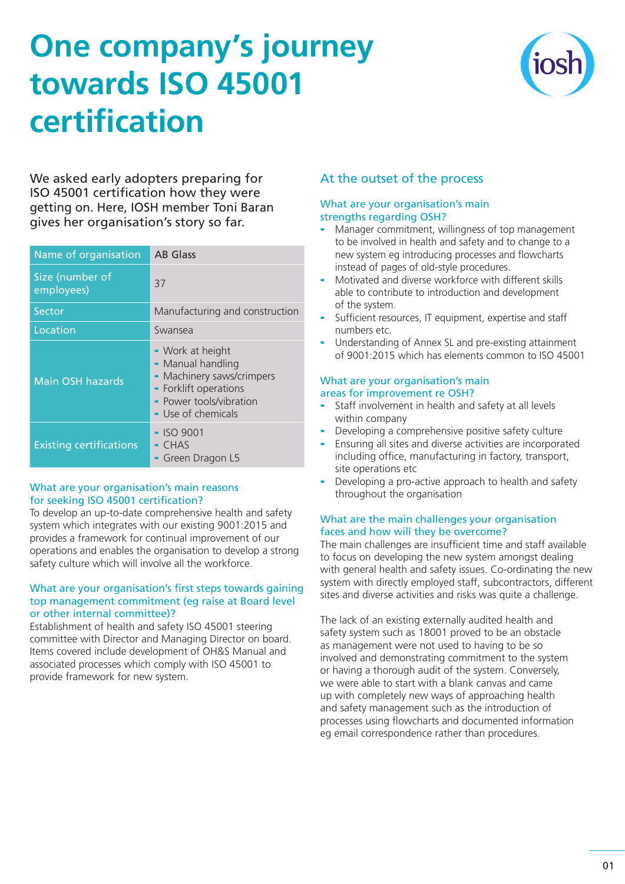# **One company's journey towards ISO 45001 certification**



We asked early adopters preparing for ISO 45001 certification how they were getting on. Here, IOSH member Toni Baran gives her organisation's story so far.

| Name of organisation           | <b>AB</b> Glass                                                                                                                              |
|--------------------------------|----------------------------------------------------------------------------------------------------------------------------------------------|
| Size (number of<br>employees)  | 37                                                                                                                                           |
| Sector                         | Manufacturing and construction                                                                                                               |
| Location                       | Swansea                                                                                                                                      |
| <b>Main OSH hazards</b>        | - Work at height<br>- Manual handling<br>- Machinery saws/crimpers<br>- Forklift operations<br>- Power tools/vibration<br>- Use of chemicals |
| <b>Existing certifications</b> | $-$ ISO 9001<br>$-$ CHAS<br>Green Dragon L5                                                                                                  |

## What are your organisation's main reasons for seeking ISO 45001 certification?

To develop an up-to-date comprehensive health and safety system which integrates with our existing 9001:2015 and provides a framework for continual improvement of our operations and enables the organisation to develop a strong safety culture which will involve all the workforce.

## What are your organisation's first steps towards gaining top management commitment (eg raise at Board level or other internal committee)?

Establishment of health and safety ISO 45001 steering committee with Director and Managing Director on board. Items covered include development of OH&S Manual and associated processes which comply with ISO 45001 to provide framework for new system.

# At the outset of the process

#### What are your organisation's main strengths regarding OSH?

- Manager commitment, willingness of top management to be involved in health and safety and to change to a new system eg introducing processes and flowcharts instead of pages of old-style procedures.
- Motivated and diverse workforce with different skills able to contribute to introduction and development of the system.
- Sufficient resources, IT equipment, expertise and staff numbers etc.
- Understanding of Annex SL and pre-existing attainment of 9001:2015 which has elements common to ISO 45001

# What are your organisation's main areas for improvement re OSH?

- Staff involvement in health and safety at all levels within company
- Developing a comprehensive positive safety culture
- Ensuring all sites and diverse activities are incorporated including office, manufacturing in factory, transport, site operations etc.
- Developing a pro-active approach to health and safety throughout the organisation

# What are the main challenges your organisation faces and how will they be overcome?

The main challenges are insufficient time and staff available to focus on developing the new system amongst dealing with general health and safety issues. Co-ordinating the new system with directly employed staff, subcontractors, different sites and diverse activities and risks was quite a challenge.

The lack of an existing externally audited health and safety system such as 18001 proved to be an obstacle as management were not used to having to be so involved and demonstrating commitment to the system or having a thorough audit of the system. Conversely, we were able to start with a blank canvas and came up with completely new ways of approaching health and safety management such as the introduction of processes using flowcharts and documented information eg email correspondence rather than procedures.